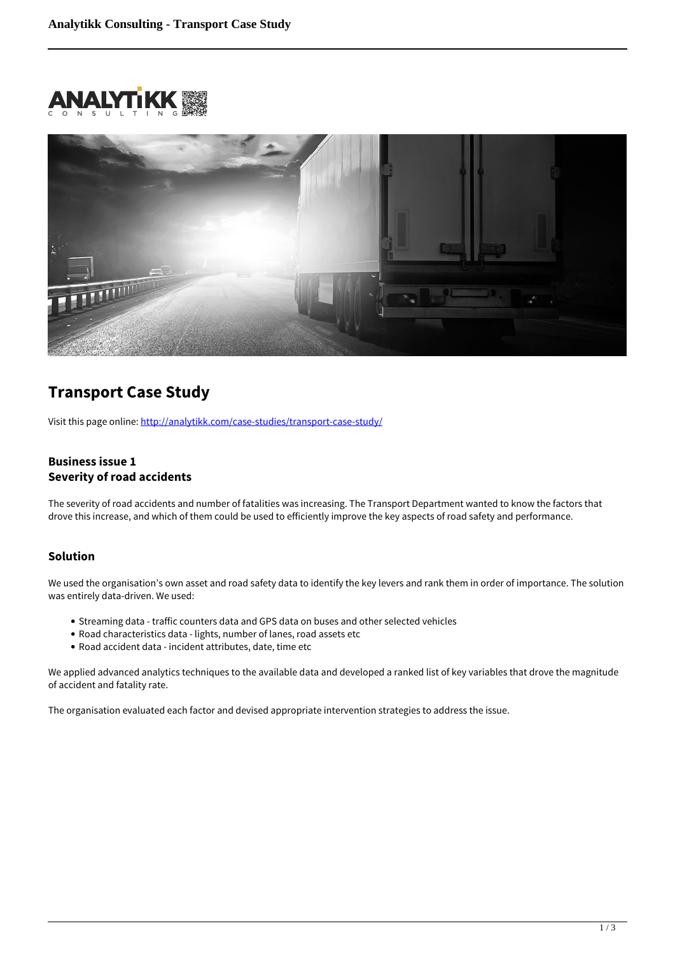



# **Transport Case Study**

Visit this page online:<http://analytikk.com/case-studies/transport-case-study/>

#### **Business issue 1 Severity of road accidents**

The severity of road accidents and number of fatalities was increasing. The Transport Department wanted to know the factors that drove this increase, and which of them could be used to efficiently improve the key aspects of road safety and performance.

#### **Solution**

We used the organisation's own asset and road safety data to identify the key levers and rank them in order of importance. The solution was entirely data-driven. We used:

- Streaming data traffic counters data and GPS data on buses and other selected vehicles
- Road characteristics data lights, number of lanes, road assets etc
- Road accident data incident attributes, date, time etc

We applied advanced analytics techniques to the available data and developed a ranked list of key variables that drove the magnitude of accident and fatality rate.

The organisation evaluated each factor and devised appropriate intervention strategies to address the issue.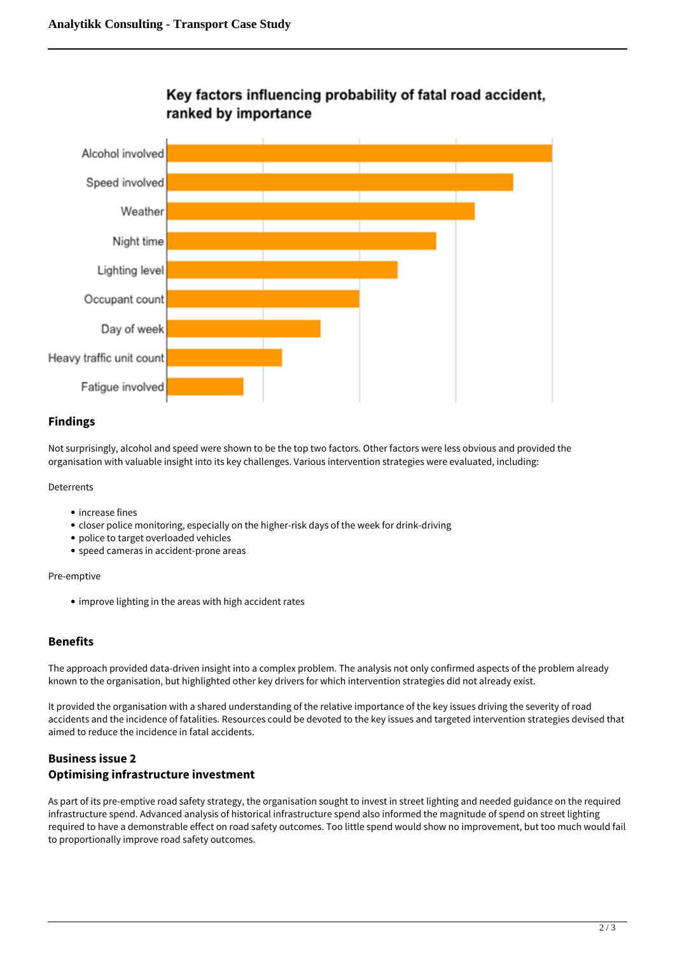

### Key factors influencing probability of fatal road accident, ranked by importance

#### **Findings**

Not surprisingly, alcohol and speed were shown to be the top two factors. Other factors were less obvious and provided the organisation with valuable insight into its key challenges. Various intervention strategies were evaluated, including:

Deterrents

- increase fines
- closer police monitoring, especially on the higher-risk days of the week for drink-driving
- police to target overloaded vehicles
- speed cameras in accident-prone areas

Pre-emptive

• improve lighting in the areas with high accident rates

#### **Benefits**

The approach provided data-driven insight into a complex problem. The analysis not only confirmed aspects of the problem already known to the organisation, but highlighted other key drivers for which intervention strategies did not already exist.

It provided the organisation with a shared understanding of the relative importance of the key issues driving the severity of road accidents and the incidence of fatalities. Resources could be devoted to the key issues and targeted intervention strategies devised that aimed to reduce the incidence in fatal accidents.

### **Business issue 2 Optimising infrastructure investment**

As part of its pre-emptive road safety strategy, the organisation sought to invest in street lighting and needed guidance on the required infrastructure spend. Advanced analysis of historical infrastructure spend also informed the magnitude of spend on street lighting required to have a demonstrable effect on road safety outcomes. Too little spend would show no improvement, but too much would fail to proportionally improve road safety outcomes.